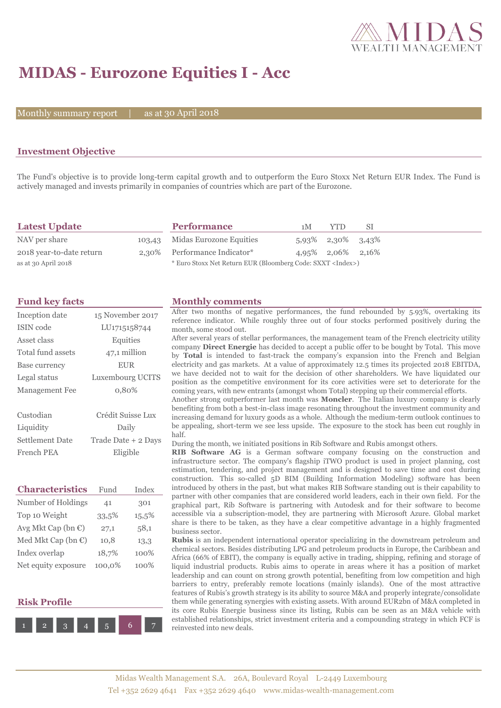

# **MIDAS - Eurozone Equities I - Acc**

Monthly summary report

30 April 2018

### **Investment Objective**

The Fund's objective is to provide long-term capital growth and to outperform the Euro Stoxx Net Return EUR Index. The Fund is actively managed and invests primarily in companies of countries which are part of the Eurozone.

| <b>Latest Update</b>     | <b>Performance</b>                                                 | 1 M | YTD                    | -SI |
|--------------------------|--------------------------------------------------------------------|-----|------------------------|-----|
| NAV per share            | 103,43 Midas Eurozone Equities                                     |     | 5,93% 2,30% 3,43%      |     |
| 2018 year-to-date return | 2,30% Performance Indicator*                                       |     | $4.95\%$ 2.06\% 2.16\% |     |
| as at 30 April 2018      | * Euro Stoxx Net Return EUR (Bloomberg Code: SXXT <index>)</index> |     |                        |     |

| Inception date        | 15 November 2017          |  |  |
|-----------------------|---------------------------|--|--|
| ISIN code             | LU <sub>171515</sub> 8744 |  |  |
| Asset class           | Equities                  |  |  |
| Total fund assets     | 47,1 million              |  |  |
| Base currency         | <b>EUR</b>                |  |  |
| Legal status          | Luxembourg UCITS          |  |  |
|                       |                           |  |  |
| <b>Management</b> Fee | 0,80%                     |  |  |
|                       |                           |  |  |
| Custodian             | Crédit Suisse Lux         |  |  |
| Liquidity             | Daily                     |  |  |
| Settlement Date       | Trade Date + 2 Days       |  |  |

| <b>Characteristics</b>         | Fund   | Index |
|--------------------------------|--------|-------|
| Number of Holdings             | 41     | 301   |
| Top 10 Weight                  | 33.5%  | 15,5% |
| Avg Mkt Cap (bn $\epsilon$ )   | 27,1   | 58,1  |
| Med Mkt Cap (bn $\mathbb{C}$ ) | 10,8   | 13,3  |
| Index overlap                  | 18,7%  | 100%  |
| Net equity exposure            | 100.0% | 100%  |





#### **Fund key facts Monthly comments**

After two months of negative performances, the fund rebounded by 5.93%, overtaking its reference indicator. While roughly three out of four stocks performed positively during the month, some stood out.

After several years of stellar performances, the management team of the French electricity utility company **Direct Energie** has decided to accept a public offer to be bought by Total. This move by **Total** is intended to fast-track the company's expansion into the French and Belgian electricity and gas markets. At a value of approximately 12.5 times its projected 2018 EBITDA, we have decided not to wait for the decision of other shareholders. We have liquidated our position as the competitive environment for its core activities were set to deteriorate for the coming years, with new entrants (amongst whom Total) stepping up their commercial efforts.

Another strong outperformer last month was **Moncler**. The Italian luxury company is clearly benefiting from both a best-in-class image resonating throughout the investment community and increasing demand for luxury goods as a whole. Although the medium-term outlook continues to be appealing, short-term we see less upside. The exposure to the stock has been cut roughly in half.

During the month, we initiated positions in Rib Software and Rubis amongst others.

**RIB Software AG** is a German software company focusing on the construction and infrastructure sector. The company's flagship iTWO product is used in project planning, cost estimation, tendering, and project management and is designed to save time and cost during construction. This so-called 5D BIM (Building Information Modeling) software has been introduced by others in the past, but what makes RIB Software standing out is their capability to partner with other companies that are considered world leaders, each in their own field. For the graphical part, Rib Software is partnering with Autodesk and for their software to become accessible via a subscription-model, they are partnering with Microsoft Azure. Global market share is there to be taken, as they have a clear competitive advantage in a highly fragmented business sector.

**Rubis** is an independent international operator specializing in the downstream petroleum and chemical sectors. Besides distributing LPG and petroleum products in Europe, the Caribbean and Africa (66% of EBIT), the company is equally active in trading, shipping, refining and storage of liquid industrial products. Rubis aims to operate in areas where it has a position of market leadership and can count on strong growth potential, benefiting from low competition and high barriers to entry, preferably remote locations (mainly islands). One of the most attractive features of Rubis's growth strategy is its ability to source M&A and properly integrate/consolidate them while generating synergies with existing assets. With around EUR2bn of M&A completed in its core Rubis Energie business since its listing, Rubis can be seen as an M&A vehicle with established relationships, strict investment criteria and a compounding strategy in which FCF is reinvested into new deals.